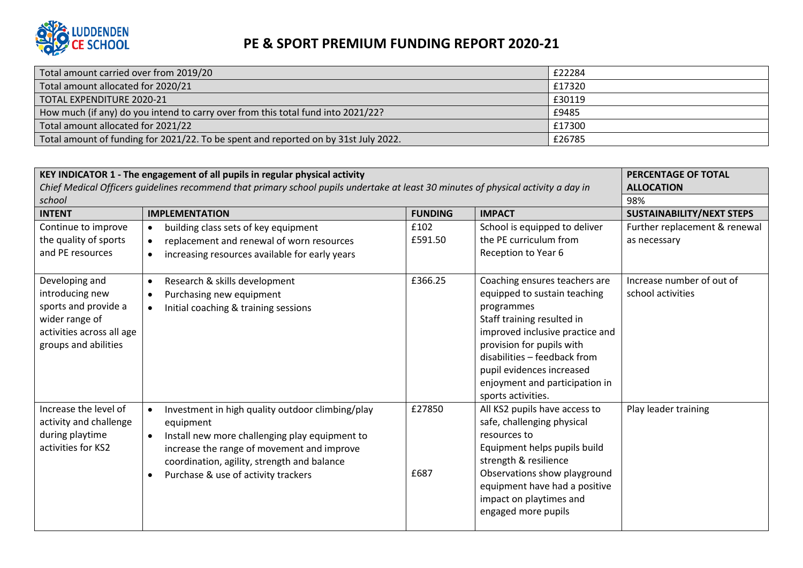

| Total amount carried over from 2019/20                                              | £22284 |
|-------------------------------------------------------------------------------------|--------|
| Total amount allocated for 2020/21                                                  | £17320 |
| TOTAL EXPENDITURE 2020-21                                                           | £30119 |
| How much (if any) do you intend to carry over from this total fund into 2021/22?    | £9485  |
| Total amount allocated for 2021/22                                                  | £17300 |
| Total amount of funding for 2021/22. To be spent and reported on by 31st July 2022. | £26785 |

| KEY INDICATOR 1 - The engagement of all pupils in regular physical activity<br>Chief Medical Officers quidelines recommend that primary school pupils undertake at least 30 minutes of physical activity a day in | PERCENTAGE OF TOTAL<br><b>ALLOCATION</b>                                                                                                                                                                                                                         |                 |                                                                                                                                                                                                                                                                                                |                                                |
|-------------------------------------------------------------------------------------------------------------------------------------------------------------------------------------------------------------------|------------------------------------------------------------------------------------------------------------------------------------------------------------------------------------------------------------------------------------------------------------------|-----------------|------------------------------------------------------------------------------------------------------------------------------------------------------------------------------------------------------------------------------------------------------------------------------------------------|------------------------------------------------|
| school                                                                                                                                                                                                            | 98%                                                                                                                                                                                                                                                              |                 |                                                                                                                                                                                                                                                                                                |                                                |
| <b>INTENT</b>                                                                                                                                                                                                     | <b>IMPLEMENTATION</b>                                                                                                                                                                                                                                            | <b>FUNDING</b>  | <b>IMPACT</b>                                                                                                                                                                                                                                                                                  | <b>SUSTAINABILITY/NEXT STEPS</b>               |
| Continue to improve<br>the quality of sports<br>and PE resources                                                                                                                                                  | building class sets of key equipment<br>$\bullet$<br>replacement and renewal of worn resources<br>increasing resources available for early years                                                                                                                 | £102<br>£591.50 | School is equipped to deliver<br>the PE curriculum from<br>Reception to Year 6                                                                                                                                                                                                                 | Further replacement & renewal<br>as necessary  |
| Developing and<br>introducing new<br>sports and provide a<br>wider range of<br>activities across all age<br>groups and abilities                                                                                  | Research & skills development<br>$\bullet$<br>Purchasing new equipment<br>Initial coaching & training sessions                                                                                                                                                   | £366.25         | Coaching ensures teachers are<br>equipped to sustain teaching<br>programmes<br>Staff training resulted in<br>improved inclusive practice and<br>provision for pupils with<br>disabilities - feedback from<br>pupil evidences increased<br>enjoyment and participation in<br>sports activities. | Increase number of out of<br>school activities |
| Increase the level of<br>activity and challenge<br>during playtime<br>activities for KS2                                                                                                                          | Investment in high quality outdoor climbing/play<br>equipment<br>Install new more challenging play equipment to<br>$\bullet$<br>increase the range of movement and improve<br>coordination, agility, strength and balance<br>Purchase & use of activity trackers | £27850<br>£687  | All KS2 pupils have access to<br>safe, challenging physical<br>resources to<br>Equipment helps pupils build<br>strength & resilience<br>Observations show playground<br>equipment have had a positive<br>impact on playtimes and<br>engaged more pupils                                        | Play leader training                           |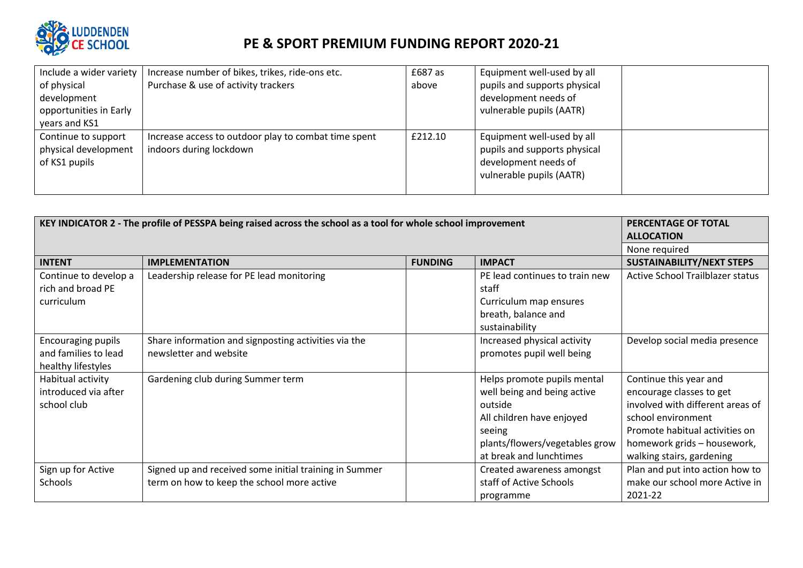

| Include a wider variety | Increase number of bikes, trikes, ride-ons etc.      | £687 as | Equipment well-used by all   |  |
|-------------------------|------------------------------------------------------|---------|------------------------------|--|
| of physical             | Purchase & use of activity trackers                  | above   | pupils and supports physical |  |
| development             |                                                      |         | development needs of         |  |
| opportunities in Early  |                                                      |         | vulnerable pupils (AATR)     |  |
| years and KS1           |                                                      |         |                              |  |
| Continue to support     | Increase access to outdoor play to combat time spent | £212.10 | Equipment well-used by all   |  |
| physical development    | indoors during lockdown                              |         | pupils and supports physical |  |
| of KS1 pupils           |                                                      |         | development needs of         |  |
|                         |                                                      |         | vulnerable pupils (AATR)     |  |
|                         |                                                      |         |                              |  |

| KEY INDICATOR 2 - The profile of PESSPA being raised across the school as a tool for whole school improvement |                                                                                                      |                | PERCENTAGE OF TOTAL<br><b>ALLOCATION</b>                                                                                                                                  |                                                                                                                                                                                                            |
|---------------------------------------------------------------------------------------------------------------|------------------------------------------------------------------------------------------------------|----------------|---------------------------------------------------------------------------------------------------------------------------------------------------------------------------|------------------------------------------------------------------------------------------------------------------------------------------------------------------------------------------------------------|
|                                                                                                               |                                                                                                      |                |                                                                                                                                                                           | None required                                                                                                                                                                                              |
| <b>INTENT</b>                                                                                                 | <b>IMPLEMENTATION</b>                                                                                | <b>FUNDING</b> | <b>IMPACT</b>                                                                                                                                                             | <b>SUSTAINABILITY/NEXT STEPS</b>                                                                                                                                                                           |
| Continue to develop a<br>rich and broad PE<br>curriculum                                                      | Leadership release for PE lead monitoring                                                            |                | PE lead continues to train new<br>staff<br>Curriculum map ensures<br>breath, balance and                                                                                  | <b>Active School Trailblazer status</b>                                                                                                                                                                    |
|                                                                                                               |                                                                                                      |                | sustainability                                                                                                                                                            |                                                                                                                                                                                                            |
| <b>Encouraging pupils</b><br>and families to lead<br>healthy lifestyles                                       | Share information and signposting activities via the<br>newsletter and website                       |                | Increased physical activity<br>promotes pupil well being                                                                                                                  | Develop social media presence                                                                                                                                                                              |
| Habitual activity<br>introduced via after<br>school club                                                      | Gardening club during Summer term                                                                    |                | Helps promote pupils mental<br>well being and being active<br>outside<br>All children have enjoyed<br>seeing<br>plants/flowers/vegetables grow<br>at break and lunchtimes | Continue this year and<br>encourage classes to get<br>involved with different areas of<br>school environment<br>Promote habitual activities on<br>homework grids - housework,<br>walking stairs, gardening |
| Sign up for Active<br>Schools                                                                                 | Signed up and received some initial training in Summer<br>term on how to keep the school more active |                | Created awareness amongst<br>staff of Active Schools<br>programme                                                                                                         | Plan and put into action how to<br>make our school more Active in<br>2021-22                                                                                                                               |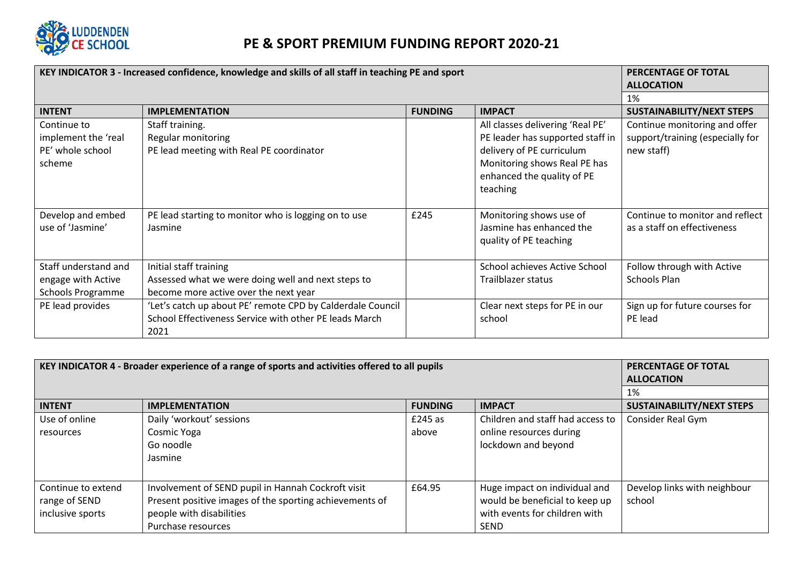

| KEY INDICATOR 3 - Increased confidence, knowledge and skills of all staff in teaching PE and sport | <b>PERCENTAGE OF TOTAL</b><br><b>ALLOCATION</b>            |                |                                  |                                  |
|----------------------------------------------------------------------------------------------------|------------------------------------------------------------|----------------|----------------------------------|----------------------------------|
|                                                                                                    | 1%                                                         |                |                                  |                                  |
| <b>INTENT</b>                                                                                      | <b>IMPLEMENTATION</b>                                      | <b>FUNDING</b> | <b>IMPACT</b>                    | <b>SUSTAINABILITY/NEXT STEPS</b> |
| Continue to                                                                                        | Staff training.                                            |                | All classes delivering 'Real PE' | Continue monitoring and offer    |
| implement the 'real                                                                                | Regular monitoring                                         |                | PE leader has supported staff in | support/training (especially for |
| PE' whole school                                                                                   | PE lead meeting with Real PE coordinator                   |                | delivery of PE curriculum        | new staff)                       |
| scheme                                                                                             |                                                            |                | Monitoring shows Real PE has     |                                  |
|                                                                                                    |                                                            |                | enhanced the quality of PE       |                                  |
|                                                                                                    |                                                            |                | teaching                         |                                  |
|                                                                                                    |                                                            |                |                                  |                                  |
| Develop and embed                                                                                  | PE lead starting to monitor who is logging on to use       | £245           | Monitoring shows use of          | Continue to monitor and reflect  |
| use of 'Jasmine'                                                                                   | Jasmine                                                    |                | Jasmine has enhanced the         | as a staff on effectiveness      |
|                                                                                                    |                                                            |                | quality of PE teaching           |                                  |
|                                                                                                    |                                                            |                |                                  |                                  |
| Staff understand and                                                                               | Initial staff training                                     |                | School achieves Active School    | Follow through with Active       |
| engage with Active                                                                                 | Assessed what we were doing well and next steps to         |                | Trailblazer status               | Schools Plan                     |
| <b>Schools Programme</b>                                                                           | become more active over the next year                      |                |                                  |                                  |
| PE lead provides                                                                                   | 'Let's catch up about PE' remote CPD by Calderdale Council |                | Clear next steps for PE in our   | Sign up for future courses for   |
|                                                                                                    | School Effectiveness Service with other PE leads March     |                | school                           | PE lead                          |
|                                                                                                    | 2021                                                       |                |                                  |                                  |

| KEY INDICATOR 4 - Broader experience of a range of sports and activities offered to all pupils | PERCENTAGE OF TOTAL<br><b>ALLOCATION</b>                |                |                                  |                                  |
|------------------------------------------------------------------------------------------------|---------------------------------------------------------|----------------|----------------------------------|----------------------------------|
|                                                                                                | 1%                                                      |                |                                  |                                  |
| <b>INTENT</b>                                                                                  | <b>IMPLEMENTATION</b>                                   | <b>FUNDING</b> | <b>IMPACT</b>                    | <b>SUSTAINABILITY/NEXT STEPS</b> |
| Use of online                                                                                  | Daily 'workout' sessions                                | £245 as        | Children and staff had access to | Consider Real Gym                |
| resources                                                                                      | Cosmic Yoga                                             | above          | online resources during          |                                  |
|                                                                                                | Go noodle                                               |                | lockdown and beyond              |                                  |
|                                                                                                | Jasmine                                                 |                |                                  |                                  |
|                                                                                                |                                                         |                |                                  |                                  |
| Continue to extend                                                                             | Involvement of SEND pupil in Hannah Cockroft visit      | £64.95         | Huge impact on individual and    | Develop links with neighbour     |
| range of SEND                                                                                  | Present positive images of the sporting achievements of |                | would be beneficial to keep up   | school                           |
| inclusive sports                                                                               | people with disabilities                                |                | with events for children with    |                                  |
|                                                                                                | Purchase resources                                      |                | <b>SEND</b>                      |                                  |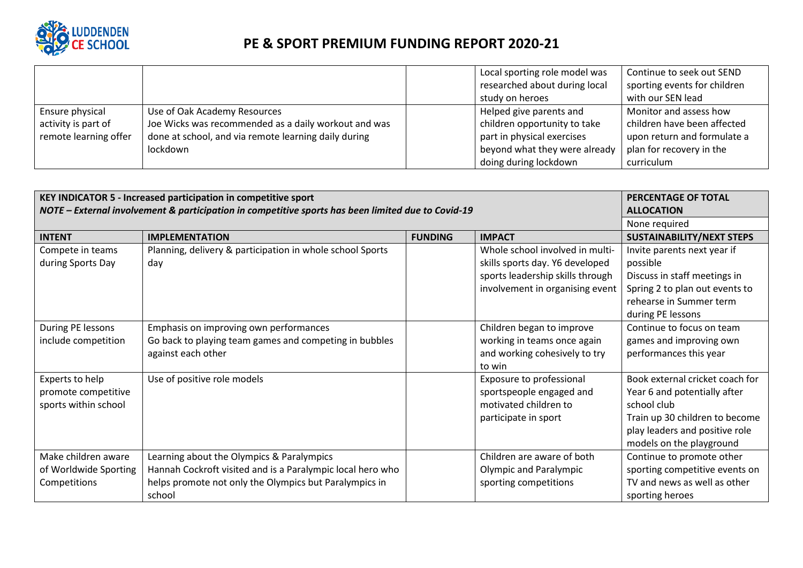

|                       |                                                      | Local sporting role model was<br>researched about during local<br>study on heroes | Continue to seek out SEND<br>sporting events for children<br>with our SEN lead |
|-----------------------|------------------------------------------------------|-----------------------------------------------------------------------------------|--------------------------------------------------------------------------------|
| Ensure physical       | Use of Oak Academy Resources                         | Helped give parents and                                                           | Monitor and assess how                                                         |
| activity is part of   | Joe Wicks was recommended as a daily workout and was | children opportunity to take                                                      | children have been affected                                                    |
| remote learning offer | done at school, and via remote learning daily during | part in physical exercises                                                        | upon return and formulate a                                                    |
|                       | lockdown                                             | beyond what they were already                                                     | plan for recovery in the                                                       |
|                       |                                                      | doing during lockdown                                                             | curriculum                                                                     |

| KEY INDICATOR 5 - Increased participation in competitive sport                                     | <b>PERCENTAGE OF TOTAL</b>                                 |                |                                  |                                  |
|----------------------------------------------------------------------------------------------------|------------------------------------------------------------|----------------|----------------------------------|----------------------------------|
| NOTE - External involvement & participation in competitive sports has been limited due to Covid-19 | <b>ALLOCATION</b>                                          |                |                                  |                                  |
|                                                                                                    |                                                            |                |                                  | None required                    |
| <b>INTENT</b>                                                                                      | <b>IMPLEMENTATION</b>                                      | <b>FUNDING</b> | <b>IMPACT</b>                    | <b>SUSTAINABILITY/NEXT STEPS</b> |
| Compete in teams                                                                                   | Planning, delivery & participation in whole school Sports  |                | Whole school involved in multi-  | Invite parents next year if      |
| during Sports Day                                                                                  | day                                                        |                | skills sports day. Y6 developed  | possible                         |
|                                                                                                    |                                                            |                | sports leadership skills through | Discuss in staff meetings in     |
|                                                                                                    |                                                            |                | involvement in organising event  | Spring 2 to plan out events to   |
|                                                                                                    |                                                            |                |                                  | rehearse in Summer term          |
|                                                                                                    |                                                            |                |                                  | during PE lessons                |
| During PE lessons                                                                                  | Emphasis on improving own performances                     |                | Children began to improve        | Continue to focus on team        |
| include competition                                                                                | Go back to playing team games and competing in bubbles     |                | working in teams once again      | games and improving own          |
|                                                                                                    | against each other                                         |                | and working cohesively to try    | performances this year           |
|                                                                                                    |                                                            |                | to win                           |                                  |
| Experts to help                                                                                    | Use of positive role models                                |                | Exposure to professional         | Book external cricket coach for  |
| promote competitive                                                                                |                                                            |                | sportspeople engaged and         | Year 6 and potentially after     |
| sports within school                                                                               |                                                            |                | motivated children to            | school club                      |
|                                                                                                    |                                                            |                | participate in sport             | Train up 30 children to become   |
|                                                                                                    |                                                            |                |                                  | play leaders and positive role   |
|                                                                                                    |                                                            |                |                                  | models on the playground         |
| Make children aware                                                                                | Learning about the Olympics & Paralympics                  |                | Children are aware of both       | Continue to promote other        |
| of Worldwide Sporting                                                                              | Hannah Cockroft visited and is a Paralympic local hero who |                | <b>Olympic and Paralympic</b>    | sporting competitive events on   |
| Competitions                                                                                       | helps promote not only the Olympics but Paralympics in     |                | sporting competitions            | TV and news as well as other     |
|                                                                                                    | school                                                     |                |                                  | sporting heroes                  |